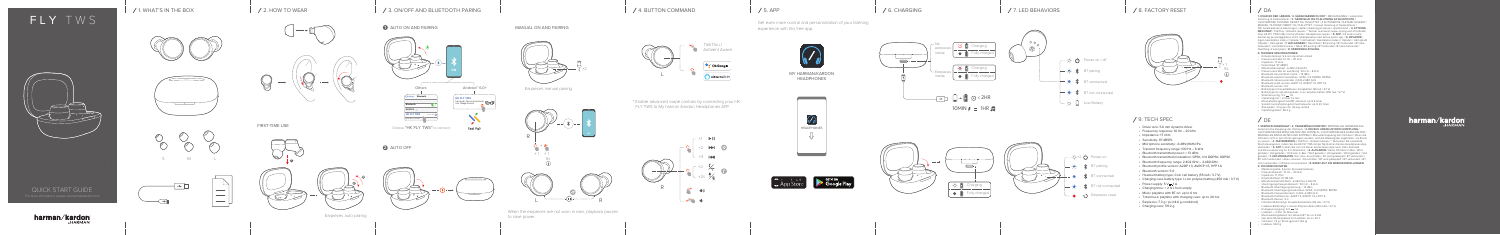**1. HVAD ER DER I ÆSKEN / 2. SÅDAN BÆRER DU DET** / IBRUGTAGNING / automatisk tilslutning af høretelefoner / **3. TÆND/SLUK OG TILSLUTNING AF BLUETOOTH /**  1 AUTOMATISK TILSTAND TÆNDT OG TILSLUTTET / 2 AUTOMATISK TILSTAND SLUKKET / MANUEL TILSTAND TÆNDT OG TILSLUTTET / manuel tilslutning af høretelefoner / Når høretelefonerne ikke bruges, sættes afspilning på pause i sparetilstand. / **4. STYRING MED KNAP** / TalkThru / Ambient Aware / \* Aktiver avanceret swipe-styring ved at forbinde dine HK FLY TWS til My harman/Kardon Headphones-appen. / **5. APP** / Få endnu mere kontrol og personliggørelse af din lytteoplevelse med denne gratis app. / **6. OPLADER** / Ingen høretelefon indeni / Oplader / Helt opladt / Høretelefon indeni / Oplader / Helt opladt Oplader / Helt opladt / **7. LED-ADFÆRD** / Tænd/Sluk / BT-parring / BT forbundet / BT ikke forbundet / Lavt batteriniveau / Tænd /BT-parring / BT forbundet / BT ikke forbundet / Nulstilling af ørestykker / **8. FABRIKSNULSTILLING**

#### **9. TEKNISKE SPECIFIKATIONER** • Enhedsstørrelse: 5.6 mm dynamisk enhed

- Frekvensområde: 10 Hz 20 kHz
- Impedans: 17 ohm
- Følsomhed: 97 dBSPL
- Mikrofonfølsomhed: -6 dBV @1kHz/Pa
- Frekvensområde for overføring: 100 Hz 8 kHz
- Bluetooth-transmitteret styrke: < 13 dBm
- Bluetooth-overført modulation: GFSK, π/4 DQPSK, 8DPSK
- Bluetooth-frekvensområde: 2,402-2,480 GHz
- Bluetooth-profil version: A2DP 1.3, AVRCP 1.5, HFP 1.6
- Bluetooth-version: 5.0
- Batteritype til hovedtelefoner: Knapbatteri (55 mA / 3,7 V)
- Batteritype for opladningsboks: Li-on polymer-batteri (450 mA / 3,7 V)
- $\cdot$  Strømforsyning:  $5 \vee \rightarrow 1 \text{ A}$
- Opladningstid: < 2 timer fra tom
- Musikafspilningstid med BT aktiveret: op til 6 timer
- Samlet musikafspilningstid med lade-etui: op til 20 timer
- Ørestykker: 7,3 g per stk. (14,6 g samlet) Opladningsboks: 59.2 g

## / DE

× 1  $\blacktriangleright$ × 2 × 3 × 2 … ×2s ブ⊀ R  $-2m \rightarrow$ 

Get even more control and personalization of your listening experience with this free app.



# FLY TWS



QUICK START GUIDE

harman/kardon



MY HARMAN/KARDON HEADPHONES











### 4. BUTTON COMMAND

## 9. TECH SPEC

- Driver size: 5.6 mm dynamic driver
- Frequency response: 10 Hz 20 kHz
- Impedance: 17 ohm
- Sensitivity: 97 dBSPL
- Microphone sensitivity: -6 dBV@1kHz/Pa
- Transmit frequency range: 100 Hz 8 kHz
- Bluetooth transmitted power: < 13 dBm
- Bluetooth transmitted modulation: GFSK, π/4 DQPSK, 8DPSK
- Bluetooth frequency range: 2.402 GHz 2.480 GHz
- Bluetooth profile version: A2DP 1.3, AVRCP 1.5, HFP 1.6 • Bluetooth version: 5.0
- 
- Headset battery type: Coin cell battery (55 mA / 3.7 V)
- Charging case battery type: Li-ion polymer battery (450 mA / 3.7 V)
- Power supply:  $5 \text{ V} = 1 \text{ A}$
- Charging time: < 2 hrs from empty
- Music playtime with BT on: up to 6 hrs
- Total music playtime with charging case: up to 20 hrs
- Earpieces: 7.3 g / pc (14.6 g combined)
- Charging case: 59.2 g

### / DA

### 1. WHAT'S IN THE BOX 2. HOW TO WEAR 5. APP 6. CHARGING 3. ON/OFF AND BLUETOOTH PARING

**AUTO ON AND PAIRING** 



8. FACTORY RESET





× 2 Power on

·· ● ● ● ● ● ● Earpieces reset

BT pairing

 $\mathbf{\mathcal{R}}$  BT not connected

**BT** connected

 $\overline{C}$   $\overline{C}$  Low Battery



FIRST-TIME USE

 $\varnothing$ 



### **1** MANUAL ON AND PAIRING

**1**

 $\overline{\phantom{m}}$ 



**2**

**3**

**2** AUTO OFF



When the earpieces are not worn in ears, playback pauses to save power.

\* Enable advanced swipe controls by connecting your HK FLY TWS to My harman /kardon Headphones APP.





Earpieces manual pairing

Earpieces auto pairing





Choose "HK FLY TWS" to connect

Fast Pair

**1. VERPACKUNGSINHALT / 2. TRAGEMÖGLICHKEITEN /** ERSTMALIGE VERWENDUNG Automatische Kopplung der Ohrhörer / **3. EIN/AUS UND BLUETOOTH-KOPPLUNG /**  1 AUTOMATISCHES EINSCHALTEN UND KOPPELN / 2 AUTOMATISCHES AUSSCHALTEN / MANUELLES EINSCHALTEN UND KOPPELN / Manuelle Kopplung der Ohrhörer / Wenn die Ohrhörer nicht in den Ohren getragen werden, wird die Wiedergabe angehalten, um Strom zu sparen. / **4. TASTENBEFEHL /** TalkThru / Ambient Aware / \* Aktivieren Sie erweiterte Wischsteuergesten, indem Sie die HK FLY TWS mit der My Harman Kardon Headphones-App verbinden. / **5. APP /** Holen Sie sich mit dieser kostenlosen App noch mehr Kontrolle und Personalisierung für Ihr Hörerlebnis. / **6. AUFLADEN /** Keine Ohrhörer in Box / Wird geladen / Voll geladen / Ohrhörer in Box / Wird geladen / Voll geladen / Wird geladen / Voll geladen / **7. LED-VERHALTEN /** Ein- bzw. Ausschalten / BT wird gekoppelt / BT verbunden / BT nicht verbunden / Akku schwach / Einschalten / BT wird gekoppelt / BT verbunden / BT nicht verbunden / Ohrhörer zurücksetzen / **8. RESET AUF DIE WERKSEINSTELLUNGEN 9. TECHNISCHE DATEN**

- Membrangröße: 5,6-mm-Dynamikmembran • Frequenzbereich:  $10 Hz - 20 kHz$
- Impedanz: 17 Ohm
- Empfindlichkeit: 97 dB SPL
- Mikrofonempfindlichkeit: -6 dB V bei 1 kHz/Pa
- Übertragungsfrequenzbereich: 100 Hz 8 kHz
- 
- Bluetooth-Übertragungsleistung: < 13 dBm Bluetooth-Übertragungsmodulation: GFSK, π/4 DQPSK, 8DPSK
- Bluetooth-Frequenzbereich: 2,402–2,480 GHz
- Bluetooth-Profilversion: A2DP 1.3, AVRCP 1.5, HFP 1.6
- Bluetooth-Version: 5.0
- Ohrhörer-Batterietyp: Knopfzellenbatterie (55 mA / 3,7 V)
- Ladebox-Batterietyp: Li-Ionen-Polymer-Akku (450 mAh / 3,7 V)
- Energieversorgung: 5 V = 1 A
- Ladezeit: < 2 Std. ab Akku leer
- Musikwiedergabezeit mit aktivem BT: bis zu 6 Std.
- Gesamte Musikspielzeit mit Ladebox: bis zu 20 h
- Ohrhörer: 7,3 g / Stück (gesamt 14,6 g) Ladebox: 59.2 g
- 

# harman/kardon